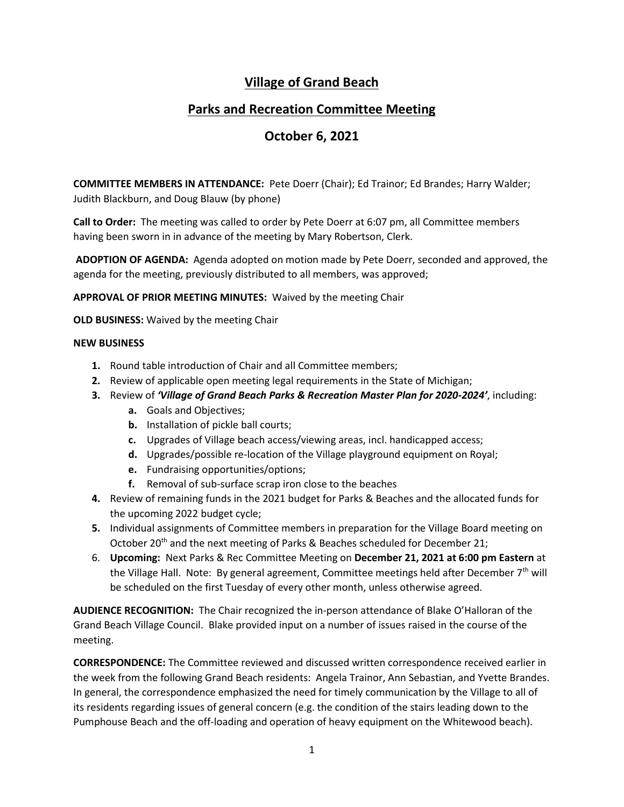## **Village of Grand Beach**

## **Parks and Recreation Committee Meeting**

## **October 6, 2021**

**COMMITTEE MEMBERS IN ATTENDANCE:** Pete Doerr (Chair); Ed Trainor; Ed Brandes; Harry Walder; Judith Blackburn, and Doug Blauw (by phone)

**Call to Order:** The meeting was called to order by Pete Doerr at 6:07 pm, all Committee members having been sworn in in advance of the meeting by Mary Robertson, Clerk.

**ADOPTION OF AGENDA:** Agenda adopted on motion made by Pete Doerr, seconded and approved, the agenda for the meeting, previously distributed to all members, was approved;

**APPROVAL OF PRIOR MEETING MINUTES:** Waived by the meeting Chair

**OLD BUSINESS:** Waived by the meeting Chair

## **NEW BUSINESS**

- **1.** Round table introduction of Chair and all Committee members;
- **2.** Review of applicable open meeting legal requirements in the State of Michigan;
- **3.** Review of *'Village of Grand Beach Parks & Recreation Master Plan for 2020-2024'*, including:
	- **a.** Goals and Objectives;
	- **b.** Installation of pickle ball courts;
	- **c.** Upgrades of Village beach access/viewing areas, incl. handicapped access;
	- **d.** Upgrades/possible re-location of the Village playground equipment on Royal;
	- **e.** Fundraising opportunities/options;
	- **f.** Removal of sub-surface scrap iron close to the beaches
- **4.** Review of remaining funds in the 2021 budget for Parks & Beaches and the allocated funds for the upcoming 2022 budget cycle;
- **5.** Individual assignments of Committee members in preparation for the Village Board meeting on October 20<sup>th</sup> and the next meeting of Parks & Beaches scheduled for December 21;
- 6. **Upcoming:** Next Parks & Rec Committee Meeting on **December 21, 2021 at 6:00 pm Eastern** at the Village Hall. Note: By general agreement, Committee meetings held after December  $7<sup>th</sup>$  will be scheduled on the first Tuesday of every other month, unless otherwise agreed.

**AUDIENCE RECOGNITION:** The Chair recognized the in-person attendance of Blake O'Halloran of the Grand Beach Village Council. Blake provided input on a number of issues raised in the course of the meeting.

**CORRESPONDENCE:** The Committee reviewed and discussed written correspondence received earlier in the week from the following Grand Beach residents: Angela Trainor, Ann Sebastian, and Yvette Brandes. In general, the correspondence emphasized the need for timely communication by the Village to all of its residents regarding issues of general concern (e.g. the condition of the stairs leading down to the Pumphouse Beach and the off-loading and operation of heavy equipment on the Whitewood beach).